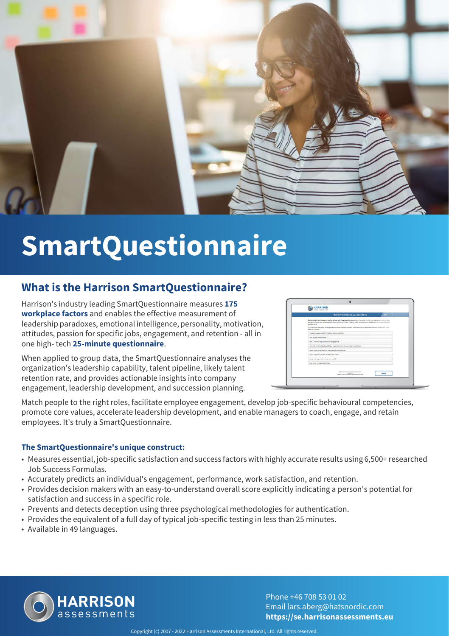

# **SmartQuestionnaire**

#### **What is the Harrison SmartQuestionnaire?**

Harrison's industry leading SmartQuestionnaire measures **175 workplace factors** and enables the effective measurement of leadership paradoxes, emotional intelligence, personality, motivation, attitudes, passion for specific jobs, engagement, and retention - all in one high- tech **25-minute questionnaire**.

When applied to group data, the SmartQuestionnaire analyses the organization's leadership capability, talent pipeline, likely talent retention rate, and provides actionable insights into company engagement, leadership development, and succession planning.

| <b>HARRISON</b><br>ssessments                   |                                                                                                                                                                                                                                             |
|-------------------------------------------------|---------------------------------------------------------------------------------------------------------------------------------------------------------------------------------------------------------------------------------------------|
|                                                 | <b>Work Preferences Questionnaire</b><br>Exit                                                                                                                                                                                               |
| you the least.                                  | Rank these 8 sentences according to how well they describe you. Adjust the order so that the top sentence describes<br>you best, the second sentence describes you the next best, ranking each sentence until the bottom sentence describes |
| Next to continue.                               | Click an item and while holding down the mouse button, move it to the desired location land release the button). Click                                                                                                                      |
|                                                 | I would enjoy work which involves driving a vehicle                                                                                                                                                                                         |
| I like myself the way I am                      |                                                                                                                                                                                                                                             |
| I don't mind having to stand for long periods   |                                                                                                                                                                                                                                             |
|                                                 | I extend a lot of empathy and take a warm interest in how others are feeling                                                                                                                                                                |
|                                                 | I want to be recognised for my strengths and abilities                                                                                                                                                                                      |
| I want to do work that is beneficial to others. |                                                                                                                                                                                                                                             |
| I have a strong intent to improve myself.       |                                                                                                                                                                                                                                             |
| I like fixing or repairing things               |                                                                                                                                                                                                                                             |
|                                                 | <b>Page Lat 18</b><br>Next<br>Copyright O 1995-2018 Romann Robmontenes Inf Lengted                                                                                                                                                          |

Match people to the right roles, facilitate employee engagement, develop job-specific behavioural competencies, promote core values, accelerate leadership development, and enable managers to coach, engage, and retain employees. It's truly a SmartQuestionnaire.

#### **The SmartQuestionnaire's unique construct:**

- Measures essential, job-specific satisfaction and success factors with highly accurate results using 6,500+ researched Job Success Formulas.
- Accurately predicts an individual's engagement, performance, work satisfaction, and retention.
- Provides decision makers with an easy-to-understand overall score explicitly indicating a person's potential for satisfaction and success in a specific role.
- Prevents and detects deception using three psychological methodologies for authentication.
- Provides the equivalent of a full day of typical job-specific testing in less than 25 minutes.
- Available in 49 languages.



Phone +46 708 53 01 02 Email lars.aberg@hatsnordic.com **https://se.harrisonassessments.eu**